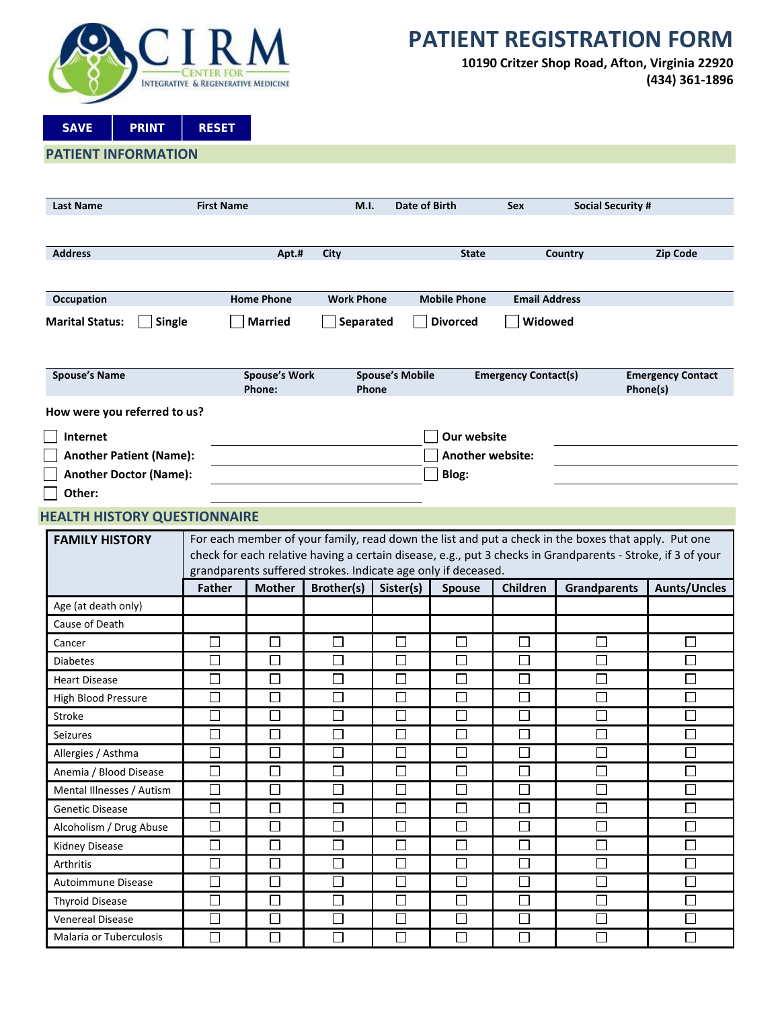

# **PATIENT REGISTRATION FORM**

**10190 Critzer Shop Road, Afton, Virginia 22920 (434) 361-1896**

**SAVE PRINT RESET**

|  |  |  |  | PATIENT INFORMATION |  |
|--|--|--|--|---------------------|--|
|--|--|--|--|---------------------|--|

| <b>Last Name</b>                                                                                    | <b>First Name</b> |                                |                                                               | Date of Birth<br>M.I.           |                         | <b>Sex</b>                  | <b>Social Security #</b>                                                                                                                                                                                           |                                      |
|-----------------------------------------------------------------------------------------------------|-------------------|--------------------------------|---------------------------------------------------------------|---------------------------------|-------------------------|-----------------------------|--------------------------------------------------------------------------------------------------------------------------------------------------------------------------------------------------------------------|--------------------------------------|
|                                                                                                     |                   |                                |                                                               |                                 |                         |                             |                                                                                                                                                                                                                    |                                      |
| <b>Address</b>                                                                                      |                   | Apt.#                          | City                                                          |                                 | <b>State</b>            |                             | Country                                                                                                                                                                                                            | <b>Zip Code</b>                      |
| <b>Home Phone</b><br><b>Work Phone</b><br><b>Mobile Phone</b><br><b>Email Address</b><br>Occupation |                   |                                |                                                               |                                 |                         |                             |                                                                                                                                                                                                                    |                                      |
| <b>Marital Status:</b><br>Single                                                                    |                   | <b>Married</b>                 | Separated                                                     |                                 | <b>Divorced</b>         | Widowed                     |                                                                                                                                                                                                                    |                                      |
| <b>Spouse's Name</b>                                                                                |                   | <b>Spouse's Work</b><br>Phone: |                                                               | <b>Spouse's Mobile</b><br>Phone |                         | <b>Emergency Contact(s)</b> |                                                                                                                                                                                                                    | <b>Emergency Contact</b><br>Phone(s) |
| How were you referred to us?                                                                        |                   |                                |                                                               |                                 |                         |                             |                                                                                                                                                                                                                    |                                      |
| Internet                                                                                            |                   |                                |                                                               |                                 | <b>Our website</b>      |                             |                                                                                                                                                                                                                    |                                      |
| <b>Another Patient (Name):</b>                                                                      |                   |                                |                                                               |                                 | <b>Another website:</b> |                             |                                                                                                                                                                                                                    |                                      |
| <b>Another Doctor (Name):</b>                                                                       |                   |                                |                                                               |                                 | Blog:                   |                             |                                                                                                                                                                                                                    |                                      |
| Other:                                                                                              |                   |                                |                                                               |                                 |                         |                             |                                                                                                                                                                                                                    |                                      |
| <b>HEALTH HISTORY QUESTIONNAIRE</b>                                                                 |                   |                                |                                                               |                                 |                         |                             |                                                                                                                                                                                                                    |                                      |
|                                                                                                     |                   |                                |                                                               |                                 |                         |                             |                                                                                                                                                                                                                    |                                      |
| <b>FAMILY HISTORY</b>                                                                               |                   |                                |                                                               |                                 |                         |                             | For each member of your family, read down the list and put a check in the boxes that apply. Put one<br>check for each relative having a certain disease, e.g., put 3 checks in Grandparents - Stroke, if 3 of your |                                      |
|                                                                                                     |                   |                                | grandparents suffered strokes. Indicate age only if deceased. |                                 |                         |                             |                                                                                                                                                                                                                    |                                      |
|                                                                                                     | <b>Father</b>     | <b>Mother</b>                  | Brother(s)                                                    | Sister(s)                       | <b>Spouse</b>           | <b>Children</b>             | <b>Grandparents</b>                                                                                                                                                                                                | <b>Aunts/Uncles</b>                  |
| Age (at death only)                                                                                 |                   |                                |                                                               |                                 |                         |                             |                                                                                                                                                                                                                    |                                      |
| Cause of Death                                                                                      |                   |                                |                                                               |                                 |                         |                             |                                                                                                                                                                                                                    |                                      |
| Cancer                                                                                              | $\Box$            | $\Box$                         | $\Box$                                                        | $\Box$                          | $\Box$                  | $\Box$                      | $\Box$                                                                                                                                                                                                             | $\Box$                               |
| <b>Diabetes</b>                                                                                     | П                 | $\Box$                         | П                                                             | $\Box$                          | □                       | $\Box$                      | $\Box$                                                                                                                                                                                                             | $\Box$                               |
| <b>Heart Disease</b>                                                                                | $\Box$            | $\Box$                         | П                                                             | $\Box$                          | $\Box$                  | П                           | $\Box$                                                                                                                                                                                                             | $\Box$                               |
| High Blood Pressure                                                                                 | $\Box$            | $\Box$                         | $\Box$                                                        | $\Box$                          | $\Box$                  | $\Box$                      | $\Box$                                                                                                                                                                                                             | $\Box$                               |
| Stroke                                                                                              | □                 | $\Box$                         | $\Box$                                                        | $\Box$                          | □                       | $\Box$                      | $\Box$                                                                                                                                                                                                             | $\Box$                               |
| <b>Seizures</b>                                                                                     | $\Box$            | $\Box$                         | П                                                             | $\Box$                          | $\Box$                  | $\Box$                      | $\Box$                                                                                                                                                                                                             | $\Box$                               |
| Allergies / Asthma                                                                                  | ⊏                 | $\Box$                         | Г                                                             | $\Box$                          | $\Box$                  | $\Box$                      | П                                                                                                                                                                                                                  | $\Box$                               |
| Anemia / Blood Disease                                                                              | $\Box$            | $\Box$                         | $\Box$                                                        | $\Box$                          | $\Box$                  | $\Box$                      | $\Box$                                                                                                                                                                                                             | $\Box$                               |
| Mental Illnesses / Autism                                                                           | $\Box$            | $\Box$                         | $\Box$                                                        | $\Box$                          | $\Box$                  | $\Box$                      | $\Box$                                                                                                                                                                                                             | $\Box$                               |
| <b>Genetic Disease</b>                                                                              | $\Box$            | $\Box$                         | $\Box$                                                        | $\Box$                          | $\Box$                  | $\Box$                      | $\Box$                                                                                                                                                                                                             | $\Box$                               |
| Alcoholism / Drug Abuse                                                                             | $\Box$            | $\Box$                         | □                                                             | $\Box$                          | $\Box$                  | $\Box$                      | $\Box$                                                                                                                                                                                                             | $\Box$                               |
| <b>Kidney Disease</b>                                                                               | $\Box$            | $\Box$                         | $\Box$                                                        | $\Box$                          | $\Box$                  | $\Box$                      | $\Box$                                                                                                                                                                                                             | $\Box$                               |
| Arthritis                                                                                           | □                 | $\Box$                         | $\Box$                                                        | $\Box$                          | $\Box$                  | $\Box$                      | $\Box$                                                                                                                                                                                                             | $\Box$                               |
| Autoimmune Disease                                                                                  | $\Box$            | $\Box$                         | $\Box$                                                        | $\Box$                          | $\Box$                  | $\Box$                      | $\Box$                                                                                                                                                                                                             | $\Box$                               |
| <b>Thyroid Disease</b>                                                                              | $\Box$            | $\Box$                         | $\Box$                                                        | $\Box$                          | $\Box$                  | $\Box$                      | $\Box$                                                                                                                                                                                                             | $\Box$                               |
| <b>Venereal Disease</b>                                                                             | $\Box$            | $\Box$                         | $\Box$                                                        | $\Box$                          | $\Box$                  | $\Box$                      | $\Box$                                                                                                                                                                                                             | $\Box$                               |
| Malaria or Tuberculosis                                                                             | $\Box$            | $\Box$                         | $\Box$                                                        | $\Box$                          | $\Box$                  | $\Box$                      | $\Box$                                                                                                                                                                                                             | $\Box$                               |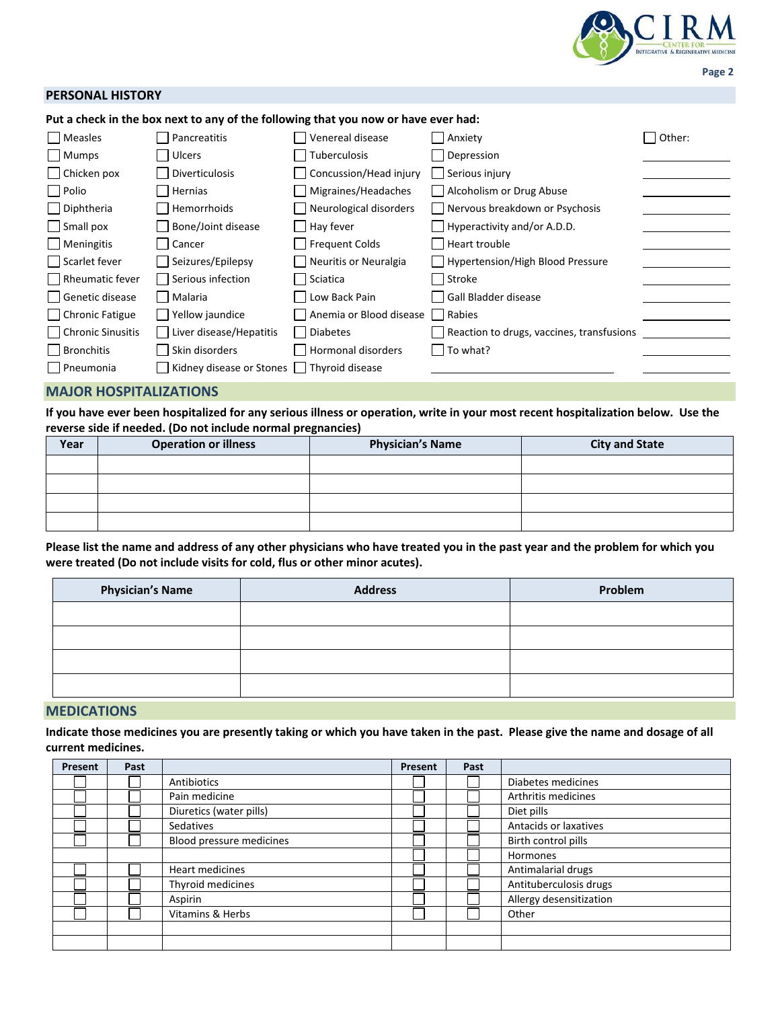

#### **PERSONAL HISTORY**

**Put a check in the box next to any of the following that you now or have ever had:**

| Measles            | Pancreatitis             | Venereal disease        | Anxiety                                   | Other: |
|--------------------|--------------------------|-------------------------|-------------------------------------------|--------|
| Mumps              | Ulcers                   | Tuberculosis            | Depression                                |        |
| $\Box$ Chicken pox | Diverticulosis           | Concussion/Head injury  | Serious injury                            |        |
| $\Box$ Polio       | Hernias                  | Migraines/Headaches     | Alcoholism or Drug Abuse                  |        |
| $\Box$ Diphtheria  | Hemorrhoids              | Neurological disorders  | Nervous breakdown or Psychosis            |        |
| $\Box$ Small pox   | Bone/Joint disease       | Hay fever               | $\Box$ Hyperactivity and/or A.D.D.        |        |
| $\Box$ Meningitis  | Cancer                   | Frequent Colds          | Heart trouble                             |        |
| Scarlet fever      | Seizures/Epilepsy        | Neuritis or Neuralgia   | Hypertension/High Blood Pressure          |        |
| Rheumatic fever    | Serious infection        | Sciatica                | Stroke                                    |        |
| Genetic disease    | Malaria                  | Low Back Pain           | Gall Bladder disease                      |        |
| Chronic Fatigue    | Yellow jaundice          | Anemia or Blood disease | Rabies                                    |        |
| Chronic Sinusitis  | Liver disease/Hepatitis  | <b>Diabetes</b>         | Reaction to drugs, vaccines, transfusions |        |
| Bronchitis         | Skin disorders           | Hormonal disorders      | $\vert$ To what?                          |        |
| Pneumonia          | Kidney disease or Stones | Thyroid disease         |                                           |        |

#### **MAJOR HOSPITALIZATIONS**

**If you have ever been hospitalized for any serious illness or operation, write in your most recent hospitalization below. Use the reverse side if needed. (Do not include normal pregnancies)**

| Year | <b>Operation or illness</b> | <b>Physician's Name</b> | <b>City and State</b> |
|------|-----------------------------|-------------------------|-----------------------|
|      |                             |                         |                       |
|      |                             |                         |                       |
|      |                             |                         |                       |
|      |                             |                         |                       |

**Please list the name and address of any other physicians who have treated you in the past year and the problem for which you were treated (Do not include visits for cold, flus or other minor acutes).**

| <b>Physician's Name</b> | <b>Address</b> | Problem |
|-------------------------|----------------|---------|
|                         |                |         |
|                         |                |         |
|                         |                |         |
|                         |                |         |

#### **MEDICATIONS**

**Indicate those medicines you are presently taking or which you have taken in the past. Please give the name and dosage of all current medicines.**

| Present | Past |                          | Present | Past |                         |
|---------|------|--------------------------|---------|------|-------------------------|
|         |      | Antibiotics              |         |      | Diabetes medicines      |
|         |      | Pain medicine            |         |      | Arthritis medicines     |
|         |      | Diuretics (water pills)  |         |      | Diet pills              |
|         |      | Sedatives                |         |      | Antacids or laxatives   |
|         |      | Blood pressure medicines |         |      | Birth control pills     |
|         |      |                          |         |      | <b>Hormones</b>         |
|         |      | Heart medicines          |         |      | Antimalarial drugs      |
|         |      | Thyroid medicines        |         |      | Antituberculosis drugs  |
|         |      | Aspirin                  |         |      | Allergy desensitization |
|         |      | Vitamins & Herbs         |         |      | Other                   |
|         |      |                          |         |      |                         |
|         |      |                          |         |      |                         |

**Page 2**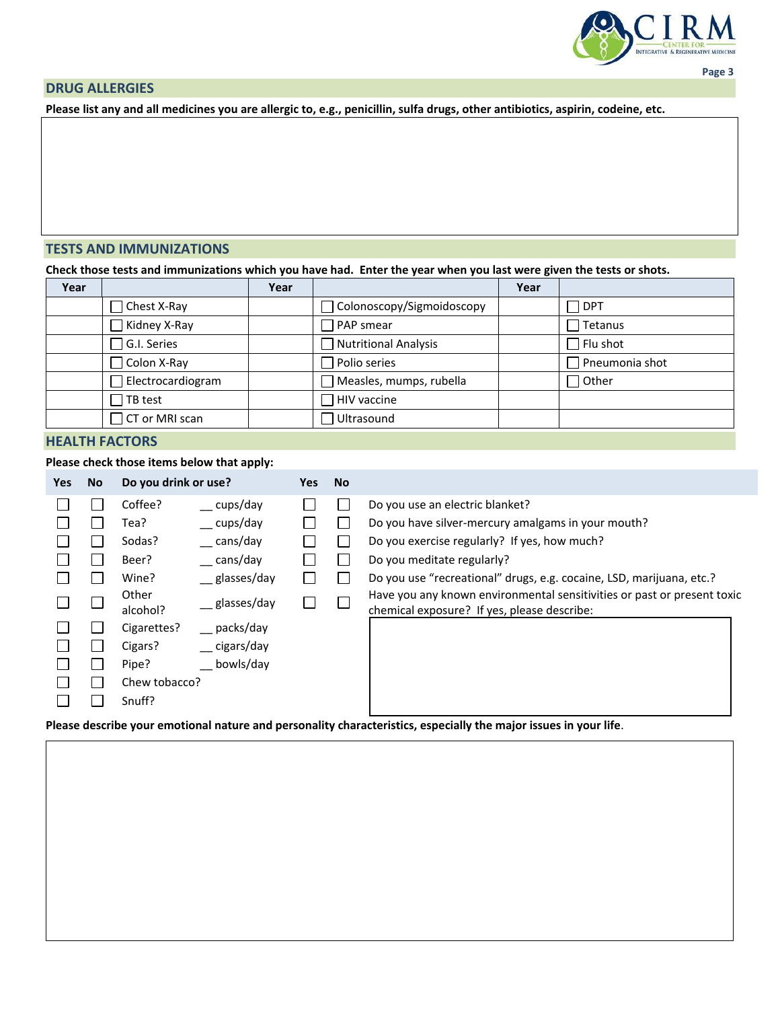

## **DRUG ALLERGIES**

**Please list any and all medicines you are allergic to, e.g., penicillin, sulfa drugs, other antibiotics, aspirin, codeine, etc.**

### **TESTS AND IMMUNIZATIONS**

**Check those tests and immunizations which you have had. Enter the year when you last were given the tests or shots.**

| Year |                             | Year |                                  | Year |                       |
|------|-----------------------------|------|----------------------------------|------|-----------------------|
|      | □ Chest X-Ray               |      | $\Box$ Colonoscopy/Sigmoidoscopy |      | $\sqcap$ DPT          |
|      | Kidney X-Ray                |      | $\Box$ PAP smear                 |      | $\exists$ Tetanus     |
|      | $\exists$ G.I. Series       |      | Nutritional Analysis             |      | $\Box$ Flu shot       |
|      | Colon X-Ray                 |      | □ Polio series                   |      | $\Box$ Pneumonia shot |
|      | $\exists$ Electrocardiogram |      | $\Box$ Measles, mumps, rubella   |      | $\exists$ Other       |
|      | $\sqcap$ TB test            |      | $\Box$ HIV vaccine               |      |                       |
|      | $\exists$ CT or MRI scan    |      | $\Box$ Ultrasound                |      |                       |

## **HEALTH FACTORS**

## **Please check those items below that apply:**

| Coffee?<br>Do you use an electric blanket?<br>cups/day<br>Do you have silver-mercury amalgams in your mouth?<br>cups/day<br>Tea?<br>cans/day<br>Do you exercise regularly? If yes, how much?<br>Sodas?<br>cans/day<br>Do you meditate regularly?<br>Beer?<br>Do you use "recreational" drugs, e.g. cocaine, LSD, marijuana, etc.?<br>Wine?<br>$\equiv$ glasses/day<br>Other<br>$\equiv$ glasses/day<br>alcohol?<br>chemical exposure? If yes, please describe: | <b>Yes</b> | No. | Do you drink or use? | Yes: | No. |                                                                         |
|----------------------------------------------------------------------------------------------------------------------------------------------------------------------------------------------------------------------------------------------------------------------------------------------------------------------------------------------------------------------------------------------------------------------------------------------------------------|------------|-----|----------------------|------|-----|-------------------------------------------------------------------------|
| $\equiv$ packs/day<br>Cigarettes?<br>cigars/day<br>Cigars?<br>bowls/day<br>Pipe?<br>Chew tobacco?<br>Snuff?                                                                                                                                                                                                                                                                                                                                                    |            |     |                      |      |     | Have you any known environmental sensitivities or past or present toxic |

**Please describe your emotional nature and personality characteristics, especially the major issues in your life**.

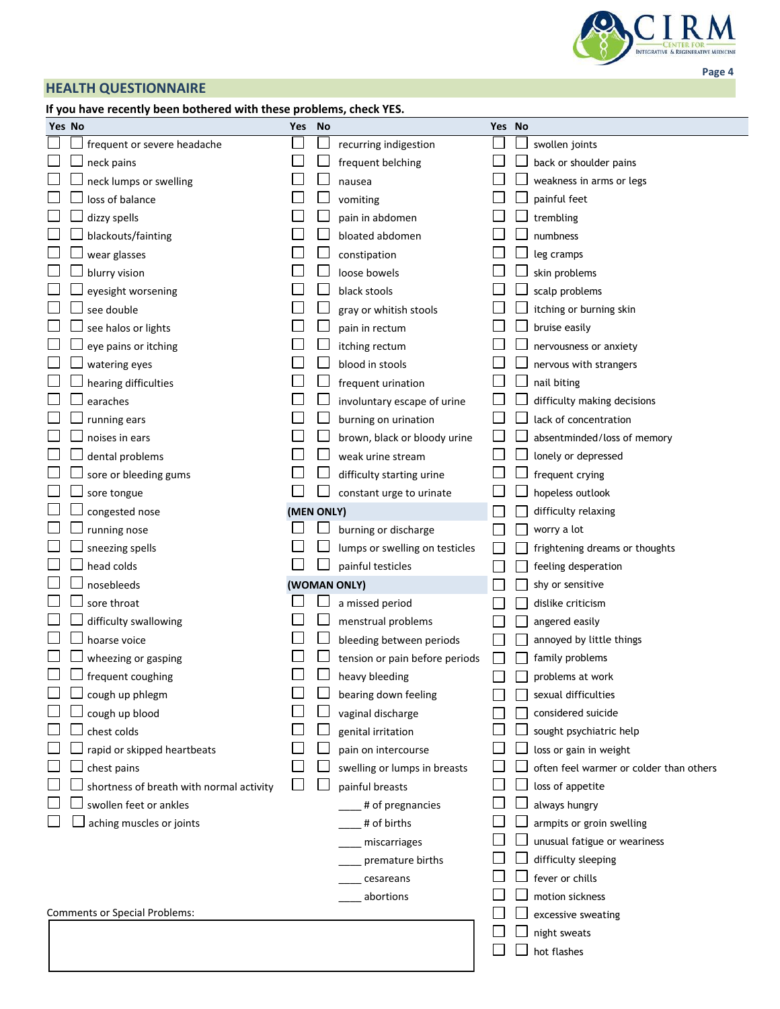

# **HEALTH QUESTIONNAIRE**

# **If you have recently been bothered with these problems, check YES.**

|    | Yes No                                   | Yes        | <b>No</b> |                                | Yes No |                                         |
|----|------------------------------------------|------------|-----------|--------------------------------|--------|-----------------------------------------|
|    | frequent or severe headache              |            |           | recurring indigestion          |        | swollen joints                          |
|    | neck pains                               |            |           | frequent belching              |        | back or shoulder pains                  |
|    | neck lumps or swelling                   |            |           | nausea                         |        | weakness in arms or legs                |
|    | loss of balance                          |            |           | vomiting                       |        | painful feet                            |
|    | dizzy spells                             |            |           | pain in abdomen                |        | trembling                               |
|    | blackouts/fainting                       |            |           | bloated abdomen                |        | numbness                                |
|    | wear glasses                             |            |           | constipation                   |        | leg cramps                              |
|    | blurry vision                            |            |           | loose bowels                   |        | skin problems                           |
|    | eyesight worsening                       |            |           | black stools                   |        | scalp problems                          |
|    | see double                               |            |           | gray or whitish stools         |        | itching or burning skin                 |
|    | see halos or lights                      |            |           | pain in rectum                 |        | bruise easily                           |
|    | eye pains or itching                     |            |           | itching rectum                 |        | nervousness or anxiety                  |
|    | watering eyes                            |            |           | blood in stools                |        | nervous with strangers                  |
|    | hearing difficulties                     |            |           | frequent urination             |        | nail biting                             |
|    | earaches                                 |            |           | involuntary escape of urine    |        | difficulty making decisions             |
|    | running ears                             |            |           | burning on urination           |        | lack of concentration                   |
|    | noises in ears                           |            |           | brown, black or bloody urine   |        | absentminded/loss of memory             |
|    | dental problems                          |            |           | weak urine stream              |        | lonely or depressed                     |
|    | sore or bleeding gums                    |            |           | difficulty starting urine      |        | frequent crying                         |
|    | sore tongue                              |            |           | constant urge to urinate       |        | hopeless outlook                        |
|    | congested nose                           | (MEN ONLY) |           |                                |        | difficulty relaxing                     |
|    | running nose                             |            |           | burning or discharge           |        | worry a lot                             |
|    | sneezing spells                          |            |           | lumps or swelling on testicles |        | frightening dreams or thoughts          |
|    | head colds                               |            |           | painful testicles              |        | feeling desperation                     |
|    | nosebleeds                               |            |           | (WOMAN ONLY)                   |        | shy or sensitive                        |
|    | sore throat                              |            |           | a missed period                |        | dislike criticism                       |
|    | difficulty swallowing                    |            |           | menstrual problems             |        | angered easily                          |
|    | hoarse voice                             |            |           | bleeding between periods       |        | annoyed by little things                |
|    | wheezing or gasping                      |            |           | tension or pain before periods |        | family problems                         |
|    | frequent coughing                        |            |           | heavy bleeding                 |        | problems at work                        |
| m. | $\Box$ cough up phlegm                   |            | ᆸ         | bearing down feeling           |        | sexual difficulties                     |
|    | cough up blood                           |            |           | vaginal discharge              |        | considered suicide                      |
|    | chest colds                              |            |           | genital irritation             |        | sought psychiatric help                 |
|    | rapid or skipped heartbeats              |            |           | pain on intercourse            |        | loss or gain in weight                  |
|    | chest pains                              |            |           | swelling or lumps in breasts   |        | often feel warmer or colder than others |
|    | shortness of breath with normal activity |            |           | painful breasts                |        | loss of appetite                        |
|    | swollen feet or ankles                   |            |           | # of pregnancies               |        | always hungry                           |
|    | aching muscles or joints                 |            |           | # of births                    |        | armpits or groin swelling               |
|    |                                          |            |           | miscarriages                   |        | unusual fatigue or weariness            |
|    |                                          |            |           | premature births               |        | difficulty sleeping                     |
|    |                                          |            |           | cesareans                      |        | fever or chills                         |
|    |                                          |            |           | abortions                      |        | motion sickness                         |
|    | <b>Comments or Special Problems:</b>     |            |           |                                |        | excessive sweating                      |
|    |                                          |            |           |                                |        | night sweats                            |
|    |                                          |            |           |                                |        | hot flashes                             |
|    |                                          |            |           |                                |        |                                         |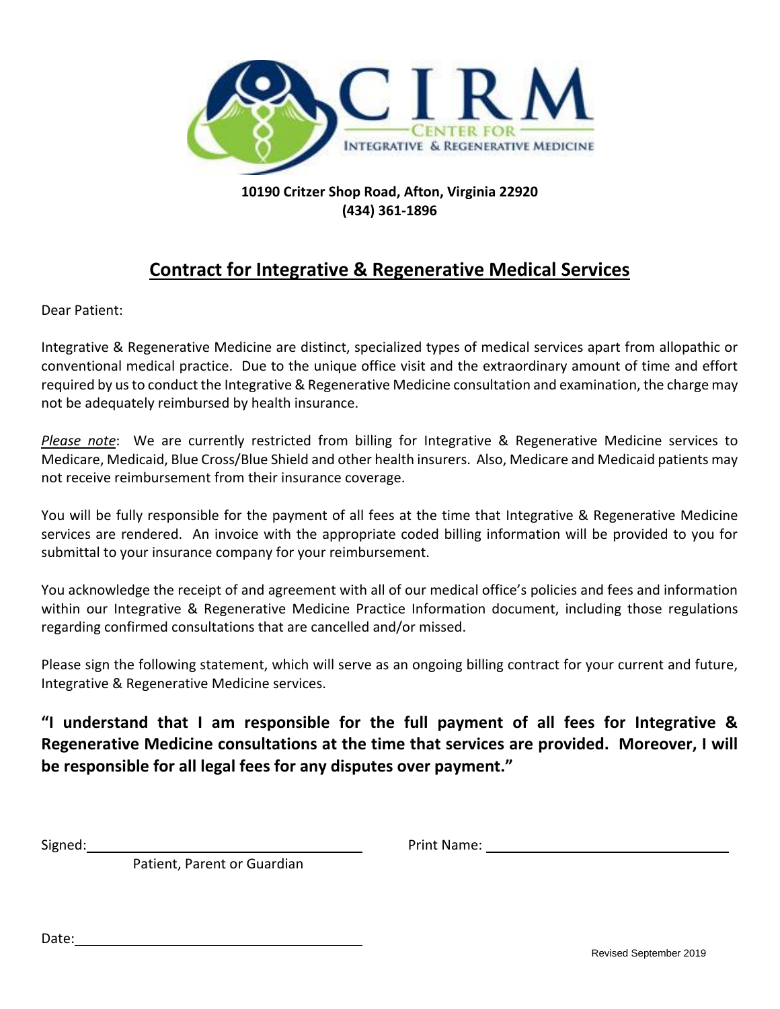

# **10190 Critzer Shop Road, Afton, Virginia 22920 (434) 361-1896**

# **Contract for Integrative & Regenerative Medical Services**

Dear Patient:

Integrative & Regenerative Medicine are distinct, specialized types of medical services apart from allopathic or conventional medical practice. Due to the unique office visit and the extraordinary amount of time and effort required by us to conduct the Integrative & Regenerative Medicine consultation and examination, the charge may not be adequately reimbursed by health insurance.

*Please note*: We are currently restricted from billing for Integrative & Regenerative Medicine services to Medicare, Medicaid, Blue Cross/Blue Shield and other health insurers. Also, Medicare and Medicaid patients may not receive reimbursement from their insurance coverage.

You will be fully responsible for the payment of all fees at the time that Integrative & Regenerative Medicine services are rendered. An invoice with the appropriate coded billing information will be provided to you for submittal to your insurance company for your reimbursement.

You acknowledge the receipt of and agreement with all of our medical office's policies and fees and information within our Integrative & Regenerative Medicine Practice Information document, including those regulations regarding confirmed consultations that are cancelled and/or missed.

Please sign the following statement, which will serve as an ongoing billing contract for your current and future, Integrative & Regenerative Medicine services.

**"I understand that I am responsible for the full payment of all fees for Integrative & Regenerative Medicine consultations at the time that services are provided. Moreover, I will be responsible for all legal fees for any disputes over payment."**

Signed: Name: Name: Name: Name: Name: Name: Name: Name: Name: Name: Name: Name: Name: Name: Name: Name: Name: Name: Name: Name: Name: Name: Name: Name: Name: Name: Name: Name: Name: Name: Name: Name: Name: Name: Name: Name

Patient, Parent or Guardian

Date: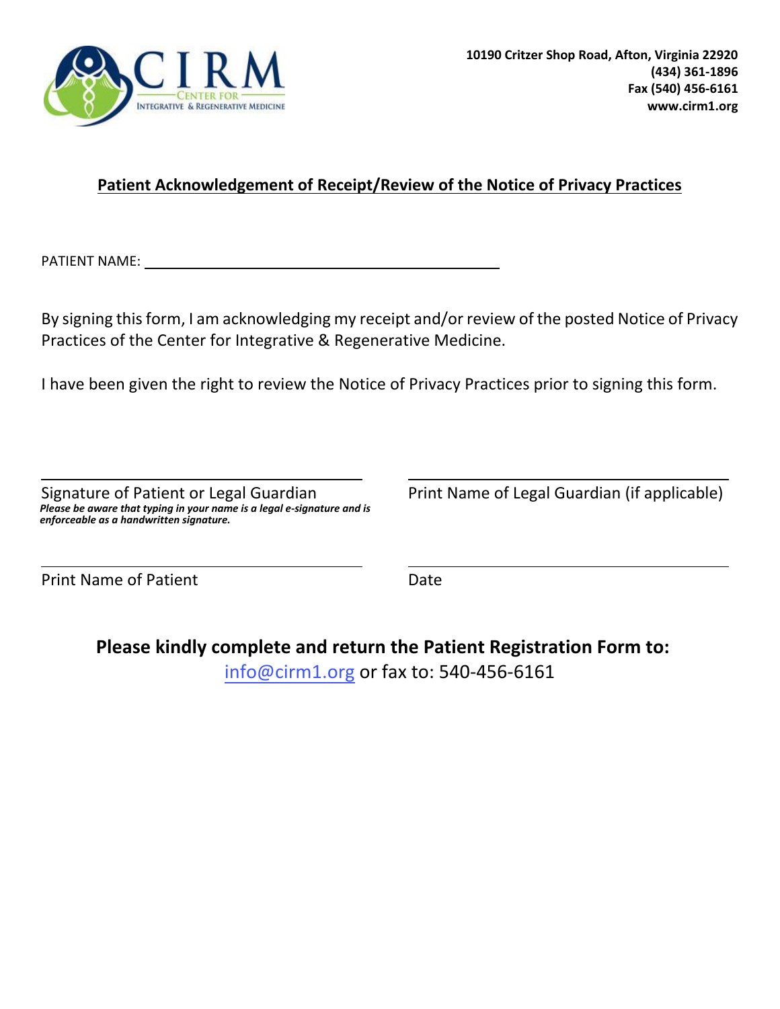

# **Patient Acknowledgement of Receipt/Review of the Notice of Privacy Practices**

PATIENT NAME: University of the set of the set of the set of the set of the set of the set of the set of the set of the set of the set of the set of the set of the set of the set of the set of the set of the set of the set

By signing this form, I am acknowledging my receipt and/or review of the posted Notice of Privacy Practices of the Center for Integrative & Regenerative Medicine.

I have been given the right to review the Notice of Privacy Practices prior to signing this form.

Signature of Patient or Legal Guardian Print Name of Legal Guardian (if applicable) *Please be aware that typing in your name is a legal e-signature and is enforceable as a handwritten signature.*

Print Name of Patient **Date** 

**Please kindly complete and return the Patient Registration Form to:** info@cirm1.org or fax to: 540-456-6161